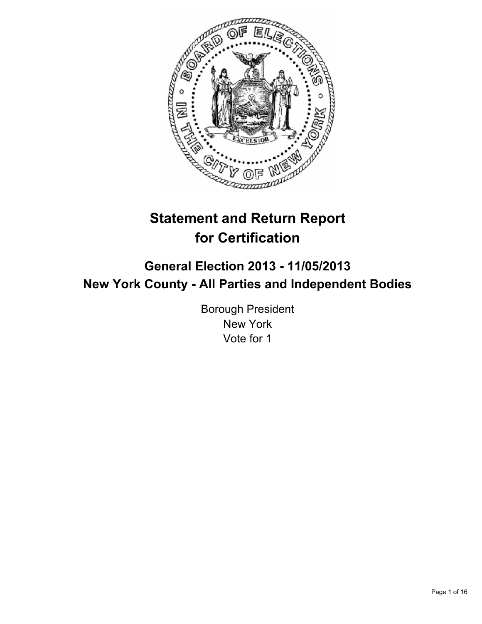

# **Statement and Return Report for Certification**

# **General Election 2013 - 11/05/2013 New York County - All Parties and Independent Bodies**

Borough President New York Vote for 1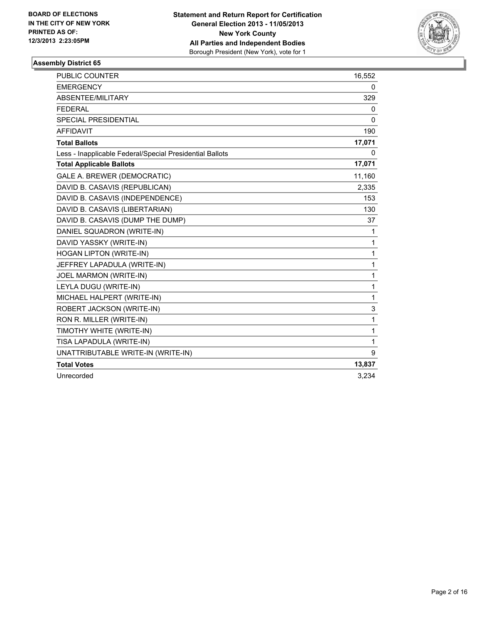

| <b>PUBLIC COUNTER</b>                                    | 16,552       |
|----------------------------------------------------------|--------------|
| <b>EMERGENCY</b>                                         | 0            |
| ABSENTEE/MILITARY                                        | 329          |
| <b>FEDERAL</b>                                           | 0            |
| SPECIAL PRESIDENTIAL                                     | 0            |
| <b>AFFIDAVIT</b>                                         | 190          |
| <b>Total Ballots</b>                                     | 17,071       |
| Less - Inapplicable Federal/Special Presidential Ballots | 0            |
| <b>Total Applicable Ballots</b>                          | 17,071       |
| GALE A. BREWER (DEMOCRATIC)                              | 11,160       |
| DAVID B. CASAVIS (REPUBLICAN)                            | 2,335        |
| DAVID B. CASAVIS (INDEPENDENCE)                          | 153          |
| DAVID B. CASAVIS (LIBERTARIAN)                           | 130          |
| DAVID B. CASAVIS (DUMP THE DUMP)                         | 37           |
| DANIEL SQUADRON (WRITE-IN)                               | 1            |
| DAVID YASSKY (WRITE-IN)                                  | 1            |
| HOGAN LIPTON (WRITE-IN)                                  | 1            |
| JEFFREY LAPADULA (WRITE-IN)                              | $\mathbf{1}$ |
| JOEL MARMON (WRITE-IN)                                   | 1            |
| LEYLA DUGU (WRITE-IN)                                    | $\mathbf{1}$ |
| MICHAEL HALPERT (WRITE-IN)                               | $\mathbf{1}$ |
| ROBERT JACKSON (WRITE-IN)                                | 3            |
| RON R. MILLER (WRITE-IN)                                 | 1            |
| TIMOTHY WHITE (WRITE-IN)                                 | 1            |
| TISA LAPADULA (WRITE-IN)                                 | 1            |
| UNATTRIBUTABLE WRITE-IN (WRITE-IN)                       | 9            |
| <b>Total Votes</b>                                       | 13,837       |
| Unrecorded                                               | 3,234        |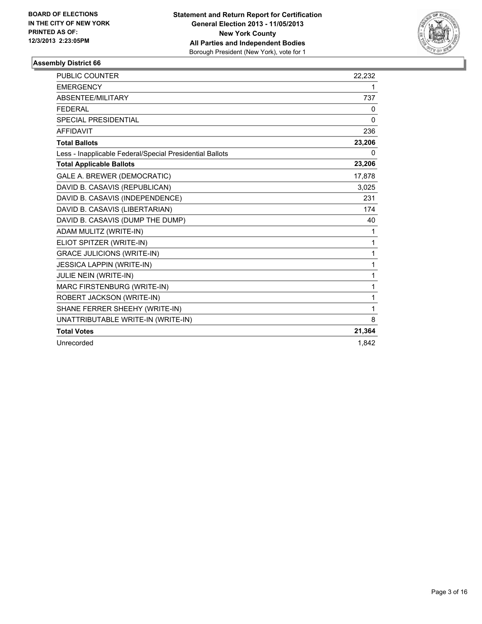

| <b>PUBLIC COUNTER</b>                                    | 22,232 |
|----------------------------------------------------------|--------|
| <b>EMERGENCY</b>                                         | 1      |
| ABSENTEE/MILITARY                                        | 737    |
| <b>FFDFRAI</b>                                           | 0      |
| <b>SPECIAL PRESIDENTIAL</b>                              | 0      |
| <b>AFFIDAVIT</b>                                         | 236    |
| <b>Total Ballots</b>                                     | 23,206 |
| Less - Inapplicable Federal/Special Presidential Ballots | 0      |
| <b>Total Applicable Ballots</b>                          | 23,206 |
| GALE A. BREWER (DEMOCRATIC)                              | 17,878 |
| DAVID B. CASAVIS (REPUBLICAN)                            | 3,025  |
| DAVID B. CASAVIS (INDEPENDENCE)                          | 231    |
| DAVID B. CASAVIS (LIBERTARIAN)                           | 174    |
| DAVID B. CASAVIS (DUMP THE DUMP)                         | 40     |
| ADAM MULITZ (WRITE-IN)                                   | 1      |
| ELIOT SPITZER (WRITE-IN)                                 | 1      |
| <b>GRACE JULICIONS (WRITE-IN)</b>                        | 1      |
| <b>JESSICA LAPPIN (WRITE-IN)</b>                         | 1      |
| JULIE NEIN (WRITE-IN)                                    | 1      |
| MARC FIRSTENBURG (WRITE-IN)                              | 1      |
| ROBERT JACKSON (WRITE-IN)                                | 1      |
| SHANE FERRER SHEEHY (WRITE-IN)                           | 1      |
| UNATTRIBUTABLE WRITE-IN (WRITE-IN)                       | 8      |
| <b>Total Votes</b>                                       | 21,364 |
| Unrecorded                                               | 1.842  |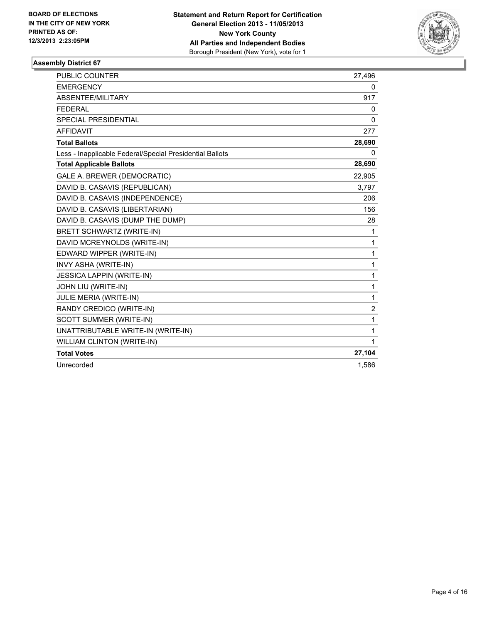

| <b>PUBLIC COUNTER</b>                                    | 27,496         |
|----------------------------------------------------------|----------------|
| <b>EMERGENCY</b>                                         | 0              |
| ABSENTEE/MILITARY                                        | 917            |
| <b>FEDERAL</b>                                           | 0              |
| <b>SPECIAL PRESIDENTIAL</b>                              | $\mathbf{0}$   |
| <b>AFFIDAVIT</b>                                         | 277            |
| <b>Total Ballots</b>                                     | 28,690         |
| Less - Inapplicable Federal/Special Presidential Ballots | 0              |
| <b>Total Applicable Ballots</b>                          | 28,690         |
| GALE A. BREWER (DEMOCRATIC)                              | 22,905         |
| DAVID B. CASAVIS (REPUBLICAN)                            | 3,797          |
| DAVID B. CASAVIS (INDEPENDENCE)                          | 206            |
| DAVID B. CASAVIS (LIBERTARIAN)                           | 156            |
| DAVID B. CASAVIS (DUMP THE DUMP)                         | 28             |
| BRETT SCHWARTZ (WRITE-IN)                                | 1              |
| DAVID MCREYNOLDS (WRITE-IN)                              | 1              |
| EDWARD WIPPER (WRITE-IN)                                 | $\mathbf{1}$   |
| INVY ASHA (WRITE-IN)                                     | 1              |
| <b>JESSICA LAPPIN (WRITE-IN)</b>                         | 1              |
| JOHN LIU (WRITE-IN)                                      | $\mathbf{1}$   |
| JULIE MERIA (WRITE-IN)                                   | 1              |
| RANDY CREDICO (WRITE-IN)                                 | $\overline{2}$ |
| SCOTT SUMMER (WRITE-IN)                                  | 1              |
| UNATTRIBUTABLE WRITE-IN (WRITE-IN)                       | 1              |
| <b>WILLIAM CLINTON (WRITE-IN)</b>                        | $\mathbf{1}$   |
| <b>Total Votes</b>                                       | 27,104         |
| Unrecorded                                               | 1,586          |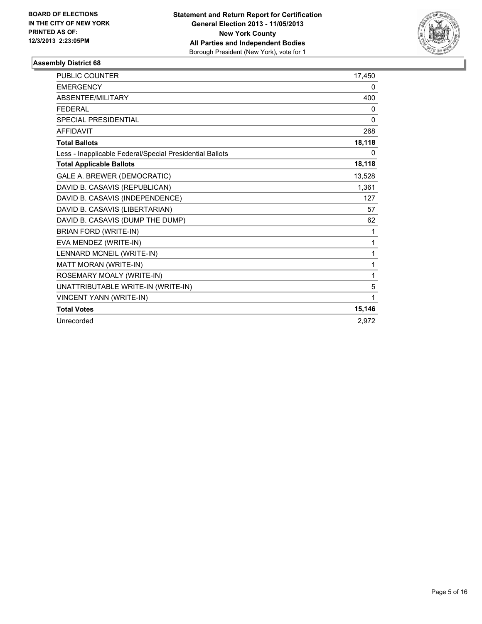

| PUBLIC COUNTER                                           | 17,450 |
|----------------------------------------------------------|--------|
| <b>EMERGENCY</b>                                         | 0      |
| ABSENTEE/MILITARY                                        | 400    |
| <b>FEDERAL</b>                                           | 0      |
| <b>SPECIAL PRESIDENTIAL</b>                              | 0      |
| <b>AFFIDAVIT</b>                                         | 268    |
| <b>Total Ballots</b>                                     | 18,118 |
| Less - Inapplicable Federal/Special Presidential Ballots | 0      |
| <b>Total Applicable Ballots</b>                          | 18,118 |
| GALE A. BREWER (DEMOCRATIC)                              | 13,528 |
| DAVID B. CASAVIS (REPUBLICAN)                            | 1,361  |
| DAVID B. CASAVIS (INDEPENDENCE)                          | 127    |
| DAVID B. CASAVIS (LIBERTARIAN)                           | 57     |
| DAVID B. CASAVIS (DUMP THE DUMP)                         | 62     |
| BRIAN FORD (WRITE-IN)                                    | 1      |
| EVA MENDEZ (WRITE-IN)                                    | 1      |
| LENNARD MCNEIL (WRITE-IN)                                | 1      |
| MATT MORAN (WRITE-IN)                                    | 1      |
| ROSEMARY MOALY (WRITE-IN)                                | 1      |
| UNATTRIBUTABLE WRITE-IN (WRITE-IN)                       | 5      |
| VINCENT YANN (WRITE-IN)                                  | 1      |
| <b>Total Votes</b>                                       | 15,146 |
| Unrecorded                                               | 2,972  |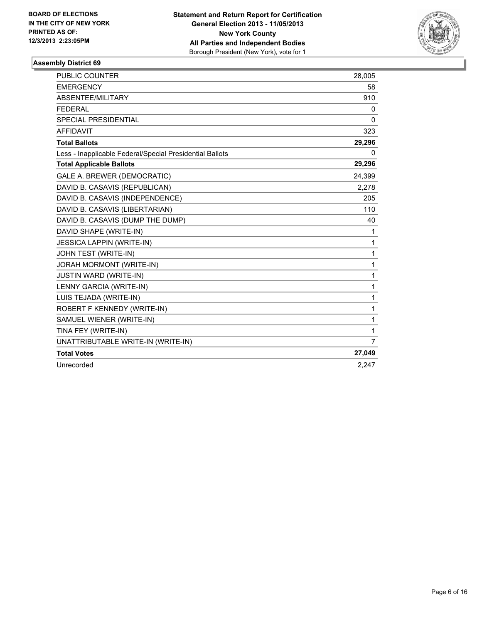

| <b>PUBLIC COUNTER</b>                                    | 28,005         |
|----------------------------------------------------------|----------------|
| <b>EMERGENCY</b>                                         | 58             |
| ABSENTEE/MILITARY                                        | 910            |
| <b>FEDERAL</b>                                           | 0              |
| <b>SPECIAL PRESIDENTIAL</b>                              | 0              |
| <b>AFFIDAVIT</b>                                         | 323            |
| <b>Total Ballots</b>                                     | 29,296         |
| Less - Inapplicable Federal/Special Presidential Ballots | 0              |
| <b>Total Applicable Ballots</b>                          | 29,296         |
| GALE A. BREWER (DEMOCRATIC)                              | 24,399         |
| DAVID B. CASAVIS (REPUBLICAN)                            | 2,278          |
| DAVID B. CASAVIS (INDEPENDENCE)                          | 205            |
| DAVID B. CASAVIS (LIBERTARIAN)                           | 110            |
| DAVID B. CASAVIS (DUMP THE DUMP)                         | 40             |
| DAVID SHAPE (WRITE-IN)                                   | 1              |
| <b>JESSICA LAPPIN (WRITE-IN)</b>                         | 1              |
| JOHN TEST (WRITE-IN)                                     | $\mathbf{1}$   |
| JORAH MORMONT (WRITE-IN)                                 | 1              |
| <b>JUSTIN WARD (WRITE-IN)</b>                            | 1              |
| LENNY GARCIA (WRITE-IN)                                  | 1              |
| LUIS TEJADA (WRITE-IN)                                   | 1              |
| ROBERT F KENNEDY (WRITE-IN)                              | 1              |
| SAMUEL WIENER (WRITE-IN)                                 | 1              |
| TINA FEY (WRITE-IN)                                      | 1              |
| UNATTRIBUTABLE WRITE-IN (WRITE-IN)                       | $\overline{7}$ |
| <b>Total Votes</b>                                       | 27,049         |
| Unrecorded                                               | 2.247          |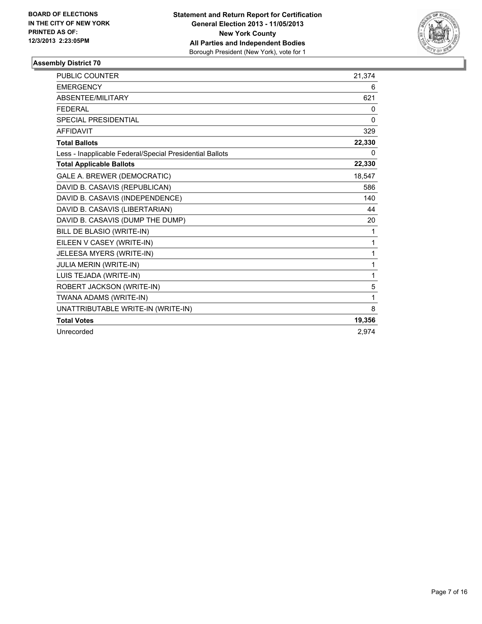

| <b>PUBLIC COUNTER</b>                                    | 21,374       |
|----------------------------------------------------------|--------------|
| <b>EMERGENCY</b>                                         | 6            |
| ABSENTEE/MILITARY                                        | 621          |
| <b>FEDERAL</b>                                           | 0            |
| SPECIAL PRESIDENTIAL                                     | $\mathbf{0}$ |
| <b>AFFIDAVIT</b>                                         | 329          |
| <b>Total Ballots</b>                                     | 22,330       |
| Less - Inapplicable Federal/Special Presidential Ballots | 0            |
| <b>Total Applicable Ballots</b>                          | 22,330       |
| GALE A. BREWER (DEMOCRATIC)                              | 18.547       |
| DAVID B. CASAVIS (REPUBLICAN)                            | 586          |
| DAVID B. CASAVIS (INDEPENDENCE)                          | 140          |
| DAVID B. CASAVIS (LIBERTARIAN)                           | 44           |
| DAVID B. CASAVIS (DUMP THE DUMP)                         | 20           |
| BILL DE BLASIO (WRITE-IN)                                | 1            |
| EILEEN V CASEY (WRITE-IN)                                | 1            |
| JELEESA MYERS (WRITE-IN)                                 | 1            |
| JULIA MERIN (WRITE-IN)                                   | 1            |
| LUIS TEJADA (WRITE-IN)                                   | 1            |
| ROBERT JACKSON (WRITE-IN)                                | 5            |
| TWANA ADAMS (WRITE-IN)                                   | 1            |
| UNATTRIBUTABLE WRITE-IN (WRITE-IN)                       | 8            |
| <b>Total Votes</b>                                       | 19,356       |
| Unrecorded                                               | 2.974        |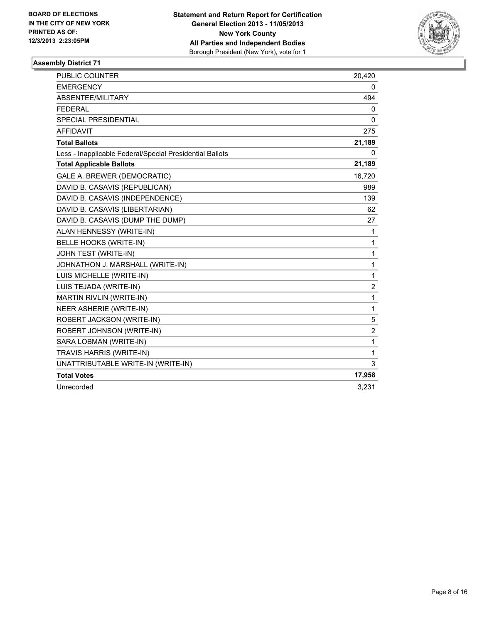

| <b>PUBLIC COUNTER</b>                                    | 20,420         |
|----------------------------------------------------------|----------------|
| <b>EMERGENCY</b>                                         | 0              |
| ABSENTEE/MILITARY                                        | 494            |
| <b>FEDERAL</b>                                           | 0              |
| <b>SPECIAL PRESIDENTIAL</b>                              | 0              |
| <b>AFFIDAVIT</b>                                         | 275            |
| <b>Total Ballots</b>                                     | 21,189         |
| Less - Inapplicable Federal/Special Presidential Ballots | 0              |
| <b>Total Applicable Ballots</b>                          | 21,189         |
| GALE A. BREWER (DEMOCRATIC)                              | 16,720         |
| DAVID B. CASAVIS (REPUBLICAN)                            | 989            |
| DAVID B. CASAVIS (INDEPENDENCE)                          | 139            |
| DAVID B. CASAVIS (LIBERTARIAN)                           | 62             |
| DAVID B. CASAVIS (DUMP THE DUMP)                         | 27             |
| ALAN HENNESSY (WRITE-IN)                                 | 1              |
| BELLE HOOKS (WRITE-IN)                                   | 1              |
| JOHN TEST (WRITE-IN)                                     | $\mathbf{1}$   |
| JOHNATHON J. MARSHALL (WRITE-IN)                         | $\mathbf{1}$   |
| LUIS MICHELLE (WRITE-IN)                                 | $\mathbf 1$    |
| LUIS TEJADA (WRITE-IN)                                   | 2              |
| <b>MARTIN RIVLIN (WRITE-IN)</b>                          | 1              |
| NEER ASHERIE (WRITE-IN)                                  | $\mathbf{1}$   |
| ROBERT JACKSON (WRITE-IN)                                | 5              |
| ROBERT JOHNSON (WRITE-IN)                                | $\overline{2}$ |
| SARA LOBMAN (WRITE-IN)                                   | $\mathbf{1}$   |
| TRAVIS HARRIS (WRITE-IN)                                 | $\mathbf{1}$   |
| UNATTRIBUTABLE WRITE-IN (WRITE-IN)                       | 3              |
| <b>Total Votes</b>                                       | 17,958         |
| Unrecorded                                               | 3,231          |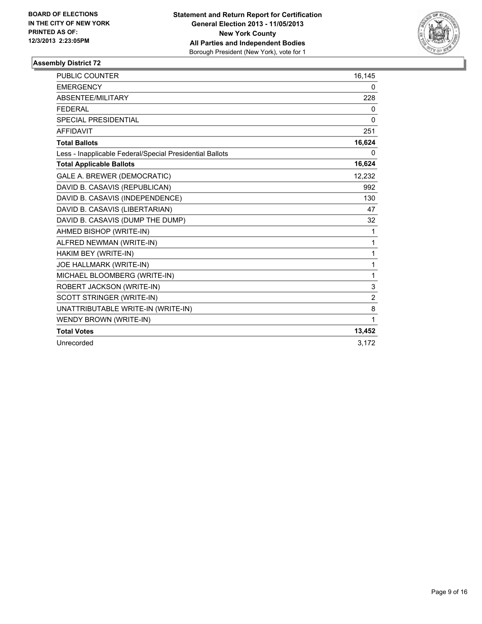

| PUBLIC COUNTER                                           | 16,145         |
|----------------------------------------------------------|----------------|
| <b>EMERGENCY</b>                                         | 0              |
| <b>ABSENTEE/MILITARY</b>                                 | 228            |
| <b>FEDERAL</b>                                           | 0              |
| SPECIAL PRESIDENTIAL                                     | 0              |
| <b>AFFIDAVIT</b>                                         | 251            |
| <b>Total Ballots</b>                                     | 16,624         |
| Less - Inapplicable Federal/Special Presidential Ballots | 0              |
| <b>Total Applicable Ballots</b>                          | 16,624         |
| GALE A. BREWER (DEMOCRATIC)                              | 12,232         |
| DAVID B. CASAVIS (REPUBLICAN)                            | 992            |
| DAVID B. CASAVIS (INDEPENDENCE)                          | 130            |
| DAVID B. CASAVIS (LIBERTARIAN)                           | 47             |
| DAVID B. CASAVIS (DUMP THE DUMP)                         | 32             |
| AHMED BISHOP (WRITE-IN)                                  | 1              |
| ALFRED NEWMAN (WRITE-IN)                                 | 1              |
| HAKIM BEY (WRITE-IN)                                     | 1              |
| JOE HALLMARK (WRITE-IN)                                  | 1              |
| MICHAEL BLOOMBERG (WRITE-IN)                             | 1              |
| ROBERT JACKSON (WRITE-IN)                                | 3              |
| SCOTT STRINGER (WRITE-IN)                                | $\overline{2}$ |
| UNATTRIBUTABLE WRITE-IN (WRITE-IN)                       | 8              |
| <b>WENDY BROWN (WRITE-IN)</b>                            | 1              |
| <b>Total Votes</b>                                       | 13,452         |
| Unrecorded                                               | 3.172          |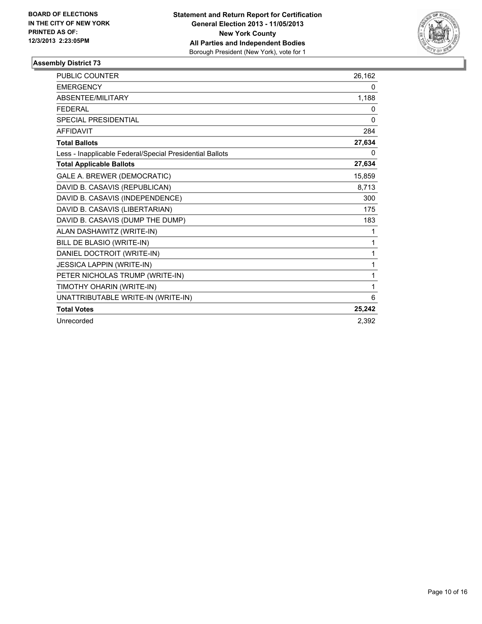

| <b>PUBLIC COUNTER</b>                                    | 26,162 |
|----------------------------------------------------------|--------|
| <b>EMERGENCY</b>                                         | 0      |
| ABSENTEE/MILITARY                                        | 1,188  |
| <b>FEDERAL</b>                                           | 0      |
| <b>SPECIAL PRESIDENTIAL</b>                              | 0      |
| <b>AFFIDAVIT</b>                                         | 284    |
| <b>Total Ballots</b>                                     | 27,634 |
| Less - Inapplicable Federal/Special Presidential Ballots | 0      |
| <b>Total Applicable Ballots</b>                          | 27,634 |
| GALE A. BREWER (DEMOCRATIC)                              | 15,859 |
| DAVID B. CASAVIS (REPUBLICAN)                            | 8,713  |
| DAVID B. CASAVIS (INDEPENDENCE)                          | 300    |
| DAVID B. CASAVIS (LIBERTARIAN)                           | 175    |
| DAVID B. CASAVIS (DUMP THE DUMP)                         | 183    |
| ALAN DASHAWITZ (WRITE-IN)                                | 1      |
| BILL DE BLASIO (WRITE-IN)                                | 1      |
| DANIEL DOCTROIT (WRITE-IN)                               | 1      |
| <b>JESSICA LAPPIN (WRITE-IN)</b>                         | 1      |
| PETER NICHOLAS TRUMP (WRITE-IN)                          | 1      |
| TIMOTHY OHARIN (WRITE-IN)                                | 1      |
| UNATTRIBUTABLE WRITE-IN (WRITE-IN)                       | 6      |
| <b>Total Votes</b>                                       | 25,242 |
| Unrecorded                                               | 2,392  |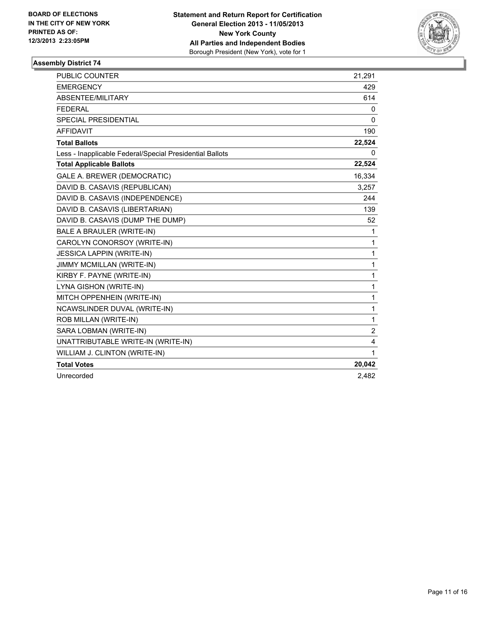

| <b>PUBLIC COUNTER</b>                                    | 21.291         |
|----------------------------------------------------------|----------------|
| <b>EMERGENCY</b>                                         | 429            |
| ABSENTEE/MILITARY                                        | 614            |
| <b>FEDERAL</b>                                           | 0              |
| SPECIAL PRESIDENTIAL                                     | $\mathbf{0}$   |
| <b>AFFIDAVIT</b>                                         | 190            |
| <b>Total Ballots</b>                                     | 22,524         |
| Less - Inapplicable Federal/Special Presidential Ballots | 0              |
| <b>Total Applicable Ballots</b>                          | 22,524         |
| GALE A. BREWER (DEMOCRATIC)                              | 16,334         |
| DAVID B. CASAVIS (REPUBLICAN)                            | 3,257          |
| DAVID B. CASAVIS (INDEPENDENCE)                          | 244            |
| DAVID B. CASAVIS (LIBERTARIAN)                           | 139            |
| DAVID B. CASAVIS (DUMP THE DUMP)                         | 52             |
| <b>BALE A BRAULER (WRITE-IN)</b>                         | 1              |
| CAROLYN CONORSOY (WRITE-IN)                              | 1              |
| <b>JESSICA LAPPIN (WRITE-IN)</b>                         | 1              |
| JIMMY MCMILLAN (WRITE-IN)                                | 1              |
| KIRBY F. PAYNE (WRITE-IN)                                | 1              |
| LYNA GISHON (WRITE-IN)                                   | 1              |
| MITCH OPPENHEIN (WRITE-IN)                               | 1              |
| NCAWSLINDER DUVAL (WRITE-IN)                             | 1              |
| ROB MILLAN (WRITE-IN)                                    | 1              |
| SARA LOBMAN (WRITE-IN)                                   | $\overline{2}$ |
| UNATTRIBUTABLE WRITE-IN (WRITE-IN)                       | 4              |
| WILLIAM J. CLINTON (WRITE-IN)                            | 1              |
| <b>Total Votes</b>                                       | 20,042         |
| Unrecorded                                               | 2,482          |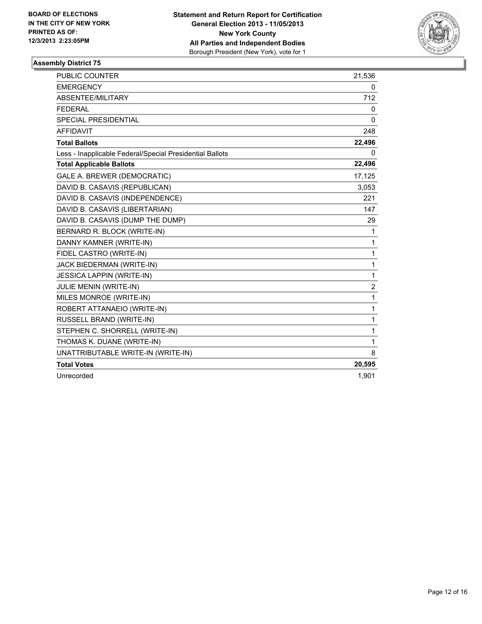

| <b>PUBLIC COUNTER</b>                                    | 21,536   |
|----------------------------------------------------------|----------|
| <b>EMERGENCY</b>                                         | 0        |
| <b>ABSENTEE/MILITARY</b>                                 | 712      |
| <b>FEDERAL</b>                                           | 0        |
| SPECIAL PRESIDENTIAL                                     | $\Omega$ |
| <b>AFFIDAVIT</b>                                         | 248      |
| <b>Total Ballots</b>                                     | 22,496   |
| Less - Inapplicable Federal/Special Presidential Ballots | 0        |
| <b>Total Applicable Ballots</b>                          | 22,496   |
| GALE A. BREWER (DEMOCRATIC)                              | 17,125   |
| DAVID B. CASAVIS (REPUBLICAN)                            | 3,053    |
| DAVID B. CASAVIS (INDEPENDENCE)                          | 221      |
| DAVID B. CASAVIS (LIBERTARIAN)                           | 147      |
| DAVID B. CASAVIS (DUMP THE DUMP)                         | 29       |
| BERNARD R. BLOCK (WRITE-IN)                              | 1        |
| DANNY KAMNER (WRITE-IN)                                  | 1        |
| FIDEL CASTRO (WRITE-IN)                                  | 1        |
| JACK BIEDERMAN (WRITE-IN)                                | 1        |
| <b>JESSICA LAPPIN (WRITE-IN)</b>                         | 1        |
| <b>JULIE MENIN (WRITE-IN)</b>                            | 2        |
| MILES MONROE (WRITE-IN)                                  | 1        |
| ROBERT ATTANAEIO (WRITE-IN)                              | 1        |
| RUSSELL BRAND (WRITE-IN)                                 | 1        |
| STEPHEN C. SHORRELL (WRITE-IN)                           | 1        |
| THOMAS K. DUANE (WRITE-IN)                               | 1        |
| UNATTRIBUTABLE WRITE-IN (WRITE-IN)                       | 8        |
| <b>Total Votes</b>                                       | 20,595   |
| Unrecorded                                               | 1,901    |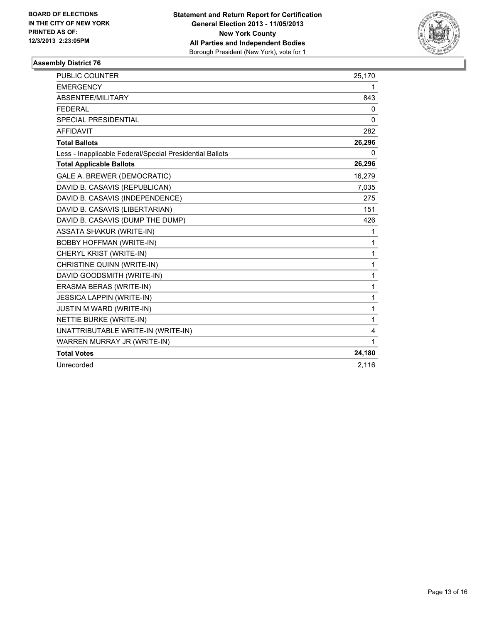

| PUBLIC COUNTER                                           | 25,170       |
|----------------------------------------------------------|--------------|
| <b>EMERGENCY</b>                                         | 1            |
| ABSENTEE/MILITARY                                        | 843          |
| <b>FEDERAL</b>                                           | $\Omega$     |
| <b>SPECIAL PRESIDENTIAL</b>                              | $\mathbf{0}$ |
| <b>AFFIDAVIT</b>                                         | 282          |
| <b>Total Ballots</b>                                     | 26,296       |
| Less - Inapplicable Federal/Special Presidential Ballots | 0            |
| <b>Total Applicable Ballots</b>                          | 26,296       |
| GALE A. BREWER (DEMOCRATIC)                              | 16,279       |
| DAVID B. CASAVIS (REPUBLICAN)                            | 7,035        |
| DAVID B. CASAVIS (INDEPENDENCE)                          | 275          |
| DAVID B. CASAVIS (LIBERTARIAN)                           | 151          |
| DAVID B. CASAVIS (DUMP THE DUMP)                         | 426          |
| <b>ASSATA SHAKUR (WRITE-IN)</b>                          | 1            |
| <b>BOBBY HOFFMAN (WRITE-IN)</b>                          | 1            |
| CHERYL KRIST (WRITE-IN)                                  | $\mathbf{1}$ |
| CHRISTINE QUINN (WRITE-IN)                               | 1            |
| DAVID GOODSMITH (WRITE-IN)                               | $\mathbf{1}$ |
| ERASMA BERAS (WRITE-IN)                                  | $\mathbf{1}$ |
| <b>JESSICA LAPPIN (WRITE-IN)</b>                         | $\mathbf{1}$ |
| <b>JUSTIN M WARD (WRITE-IN)</b>                          | $\mathbf{1}$ |
| NETTIE BURKE (WRITE-IN)                                  | $\mathbf{1}$ |
| UNATTRIBUTABLE WRITE-IN (WRITE-IN)                       | 4            |
| WARREN MURRAY JR (WRITE-IN)                              | $\mathbf 1$  |
| <b>Total Votes</b>                                       | 24,180       |
| Unrecorded                                               | 2,116        |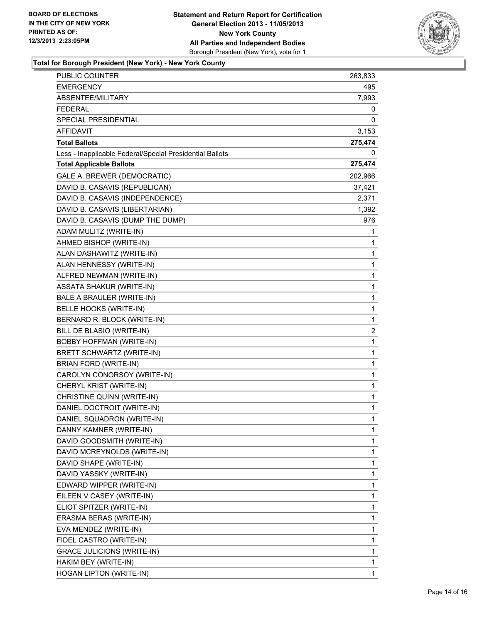

# **Total for Borough President (New York) - New York County**

| <b>PUBLIC COUNTER</b>                                    | 263,833      |
|----------------------------------------------------------|--------------|
| EMERGENCY                                                | 495          |
| ABSENTEE/MILITARY                                        | 7,993        |
| <b>FEDERAL</b>                                           | 0            |
| SPECIAL PRESIDENTIAL                                     | 0            |
| AFFIDAVIT                                                | 3,153        |
| <b>Total Ballots</b>                                     | 275,474      |
| Less - Inapplicable Federal/Special Presidential Ballots | 0            |
| <b>Total Applicable Ballots</b>                          | 275,474      |
| GALE A. BREWER (DEMOCRATIC)                              | 202,966      |
| DAVID B. CASAVIS (REPUBLICAN)                            | 37,421       |
| DAVID B. CASAVIS (INDEPENDENCE)                          | 2,371        |
| DAVID B. CASAVIS (LIBERTARIAN)                           | 1,392        |
| DAVID B. CASAVIS (DUMP THE DUMP)                         | 976          |
| ADAM MULITZ (WRITE-IN)                                   | 1            |
| AHMED BISHOP (WRITE-IN)                                  | 1            |
| ALAN DASHAWITZ (WRITE-IN)                                | 1            |
| ALAN HENNESSY (WRITE-IN)                                 | 1            |
| ALFRED NEWMAN (WRITE-IN)                                 | 1            |
| <b>ASSATA SHAKUR (WRITE-IN)</b>                          | $\mathbf 1$  |
| BALE A BRAULER (WRITE-IN)                                | 1            |
| BELLE HOOKS (WRITE-IN)                                   | 1            |
| BERNARD R. BLOCK (WRITE-IN)                              | 1            |
| BILL DE BLASIO (WRITE-IN)                                | 2            |
| BOBBY HOFFMAN (WRITE-IN)                                 | 1            |
| BRETT SCHWARTZ (WRITE-IN)                                | $\mathbf 1$  |
| <b>BRIAN FORD (WRITE-IN)</b>                             | 1            |
| CAROLYN CONORSOY (WRITE-IN)                              | 1            |
| CHERYL KRIST (WRITE-IN)                                  | $\mathbf 1$  |
| CHRISTINE QUINN (WRITE-IN)                               | 1            |
| DANIEL DOCTROIT (WRITE-IN)                               | 1            |
| DANIEL SQUADRON (WRITE-IN)                               | $\mathbf{1}$ |
| DANNY KAMNER (WRITE-IN)                                  | 1            |
| DAVID GOODSMITH (WRITE-IN)                               | 1            |
| DAVID MCREYNOLDS (WRITE-IN)                              | 1            |
| DAVID SHAPE (WRITE-IN)                                   | 1            |
| DAVID YASSKY (WRITE-IN)                                  | 1            |
| EDWARD WIPPER (WRITE-IN)                                 | 1            |
| EILEEN V CASEY (WRITE-IN)                                | 1            |
| ELIOT SPITZER (WRITE-IN)                                 | 1            |
| ERASMA BERAS (WRITE-IN)                                  | 1            |
| EVA MENDEZ (WRITE-IN)                                    | 1            |
| FIDEL CASTRO (WRITE-IN)                                  | 1            |
| <b>GRACE JULICIONS (WRITE-IN)</b>                        | 1            |
| HAKIM BEY (WRITE-IN)                                     | 1            |
| HOGAN LIPTON (WRITE-IN)                                  | 1            |
|                                                          |              |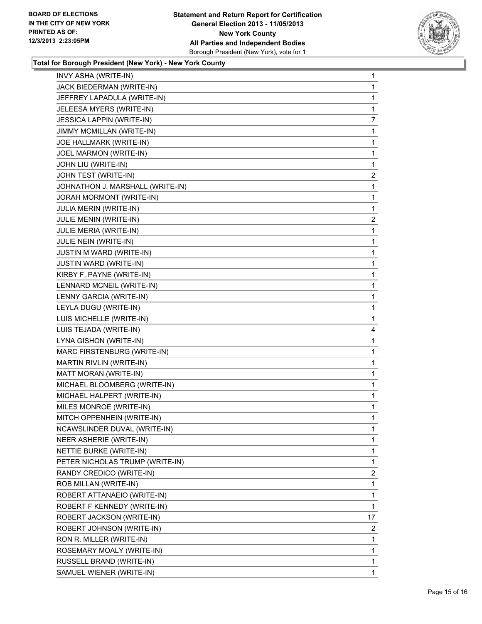

# **Total for Borough President (New York) - New York County**

| INVY ASHA (WRITE-IN)             | 1              |
|----------------------------------|----------------|
| JACK BIEDERMAN (WRITE-IN)        | 1              |
| JEFFREY LAPADULA (WRITE-IN)      | 1              |
| JELEESA MYERS (WRITE-IN)         | 1              |
| <b>JESSICA LAPPIN (WRITE-IN)</b> | 7              |
| JIMMY MCMILLAN (WRITE-IN)        | 1              |
| JOE HALLMARK (WRITE-IN)          | 1              |
| JOEL MARMON (WRITE-IN)           | 1              |
| JOHN LIU (WRITE-IN)              | 1              |
| JOHN TEST (WRITE-IN)             | 2              |
| JOHNATHON J. MARSHALL (WRITE-IN) | 1              |
| JORAH MORMONT (WRITE-IN)         | 1              |
| JULIA MERIN (WRITE-IN)           | 1              |
| JULIE MENIN (WRITE-IN)           | $\overline{2}$ |
| JULIE MERIA (WRITE-IN)           | 1              |
| JULIE NEIN (WRITE-IN)            | 1              |
| <b>JUSTIN M WARD (WRITE-IN)</b>  | 1              |
| <b>JUSTIN WARD (WRITE-IN)</b>    | 1              |
| KIRBY F. PAYNE (WRITE-IN)        | 1              |
| LENNARD MCNEIL (WRITE-IN)        | 1              |
| LENNY GARCIA (WRITE-IN)          | 1              |
| LEYLA DUGU (WRITE-IN)            | 1              |
| LUIS MICHELLE (WRITE-IN)         | 1              |
| LUIS TEJADA (WRITE-IN)           | 4              |
| LYNA GISHON (WRITE-IN)           | 1              |
| MARC FIRSTENBURG (WRITE-IN)      | 1              |
| MARTIN RIVLIN (WRITE-IN)         | 1              |
| MATT MORAN (WRITE-IN)            | 1              |
| MICHAEL BLOOMBERG (WRITE-IN)     | 1              |
| MICHAEL HALPERT (WRITE-IN)       | 1              |
| MILES MONROE (WRITE-IN)          | 1              |
| MITCH OPPENHEIN (WRITE-IN)       | 1              |
| NCAWSLINDER DUVAL (WRITE-IN)     | 1              |
| NEER ASHERIE (WRITE-IN)          | $\mathbf{1}$   |
| NETTIE BURKE (WRITE-IN)          | 1              |
| PETER NICHOLAS TRUMP (WRITE-IN)  | 1              |
| RANDY CREDICO (WRITE-IN)         | $\overline{2}$ |
| ROB MILLAN (WRITE-IN)            | 1              |
| ROBERT ATTANAEIO (WRITE-IN)      | 1              |
| ROBERT F KENNEDY (WRITE-IN)      | 1              |
| ROBERT JACKSON (WRITE-IN)        | 17             |
| ROBERT JOHNSON (WRITE-IN)        | 2              |
| RON R. MILLER (WRITE-IN)         | 1              |
| ROSEMARY MOALY (WRITE-IN)        | $\mathbf{1}$   |
| RUSSELL BRAND (WRITE-IN)         | 1              |
| SAMUEL WIENER (WRITE-IN)         | $\mathbf 1$    |